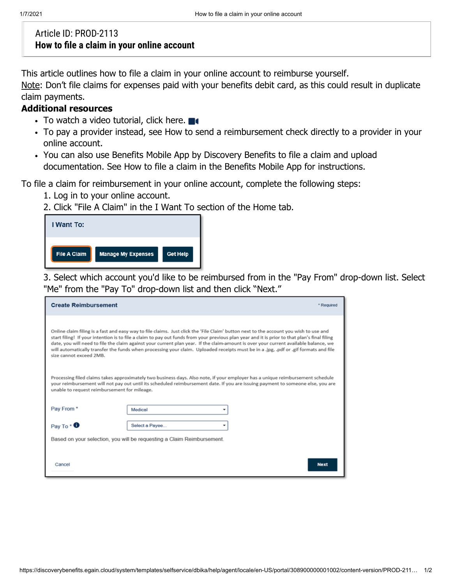## Article ID: PROD-2113 **How to file a claim in your online account**

This article outlines how to file a claim in your online account to reimburse yourself.

Note: Don't file claims for expenses paid with your benefits debit card, as this could result in duplicate claim payments.

## **Additional resources**

- To watch a video tutorial, click here.
- To pay a provider instead, see How to send a reimbursement check directly to a provider in your online account.
- You can also use Benefits Mobile App by Discovery Benefits to file a claim and upload documentation. See How to file a claim in the Benefits Mobile App for instructions.

To file a claim for reimbursement in your online account, complete the following steps:

- 1. Log in to your online account.
- 2. Click "File A Claim" in the I Want To section of the Home tab.

| I Want To:          |                           |                 |
|---------------------|---------------------------|-----------------|
| <b>File A Claim</b> | <b>Manage My Expenses</b> | <b>Get Help</b> |

3. Select which account you'd like to be reimbursed from in the "Pay From" drop-down list. Select "Me" from the "Pay To" drop-down list and then click "Next."

| <b>Create Reimbursement</b>                                                                                                                                                                                                                                                                                                                                                                                                                                                                                                                                                                      |                |             |  |  |
|--------------------------------------------------------------------------------------------------------------------------------------------------------------------------------------------------------------------------------------------------------------------------------------------------------------------------------------------------------------------------------------------------------------------------------------------------------------------------------------------------------------------------------------------------------------------------------------------------|----------------|-------------|--|--|
| Online claim filing is a fast and easy way to file claims. Just click the 'File Claim' button next to the account you wish to use and<br>start filing! If your intention is to file a claim to pay out funds from your previous plan year and it is prior to that plan's final filing<br>date, you will need to file the claim against your current plan year. If the claim-amount is over your current available balance, we<br>will automatically transfer the funds when processing your claim. Uploaded receipts must be in a .jpg, .pdf or .gif formats and file<br>size cannot exceed 2MB. |                |             |  |  |
| Processing filed claims takes approximately two business days. Also note, if your employer has a unique reimbursement schedule<br>your reimbursement will not pay out until its scheduled reimbursement date. If you are issuing payment to someone else, you are<br>unable to request reimbursement for mileage.                                                                                                                                                                                                                                                                                |                |             |  |  |
| Pay From *                                                                                                                                                                                                                                                                                                                                                                                                                                                                                                                                                                                       | Medical        |             |  |  |
| Pay To $*$ $\bullet$                                                                                                                                                                                                                                                                                                                                                                                                                                                                                                                                                                             | Select a Payee | ٠           |  |  |
| Based on your selection, you will be requesting a Claim Reimbursement.                                                                                                                                                                                                                                                                                                                                                                                                                                                                                                                           |                |             |  |  |
| Cancel                                                                                                                                                                                                                                                                                                                                                                                                                                                                                                                                                                                           |                | <b>Next</b> |  |  |